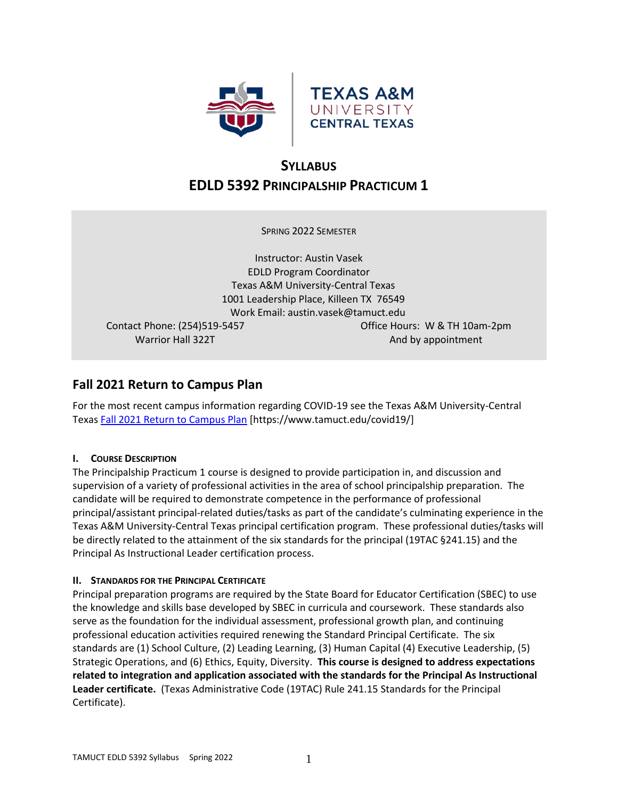



# **SYLLABUS EDLD 5392 PRINCIPALSHIP PRACTICUM 1**

SPRING 2022 SEMESTER

Instructor: Austin Vasek EDLD Program Coordinator Texas A&M University-Central Texas 1001 Leadership Place, Killeen TX 76549 Work Email: austin.vasek@tamuct.edu Contact Phone: (254)519-5457 Office Hours: W & TH 10am-2pm

Warrior Hall 322T And by appointment

# **Fall 2021 Return to Campus Plan**

For the most recent campus information regarding COVID-19 see the Texas A&M University-Central Texa[s Fall 2021 Return to Campus Plan](https://www.tamuct.edu/covid19/) [https://www.tamuct.edu/covid19/]

# **I. COURSE DESCRIPTION**

The Principalship Practicum 1 course is designed to provide participation in, and discussion and supervision of a variety of professional activities in the area of school principalship preparation. The candidate will be required to demonstrate competence in the performance of professional principal/assistant principal-related duties/tasks as part of the candidate's culminating experience in the Texas A&M University-Central Texas principal certification program. These professional duties/tasks will be directly related to the attainment of the six standards for the principal (19TAC §241.15) and the Principal As Instructional Leader certification process.

# **II. STANDARDS FOR THE PRINCIPAL CERTIFICATE**

Principal preparation programs are required by the State Board for Educator Certification (SBEC) to use the knowledge and skills base developed by SBEC in curricula and coursework. These standards also serve as the foundation for the individual assessment, professional growth plan, and continuing professional education activities required renewing the Standard Principal Certificate. The six standards are (1) School Culture, (2) Leading Learning, (3) Human Capital (4) Executive Leadership, (5) Strategic Operations, and (6) Ethics, Equity, Diversity. **This course is designed to address expectations related to integration and application associated with the standards for the Principal As Instructional Leader certificate.** (Texas Administrative Code (19TAC) Rule 241.15 Standards for the Principal Certificate).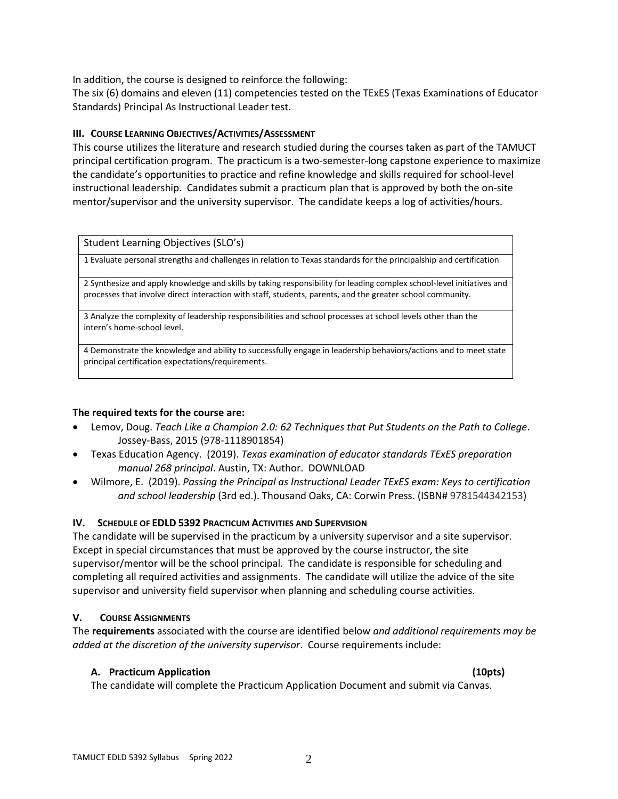In addition, the course is designed to reinforce the following:

The six (6) domains and eleven (11) competencies tested on the TExES (Texas Examinations of Educator Standards) Principal As Instructional Leader test.

### **III. COURSE LEARNING OBJECTIVES/ACTIVITIES/ASSESSMENT**

This course utilizes the literature and research studied during the courses taken as part of the TAMUCT principal certification program. The practicum is a two-semester-long capstone experience to maximize the candidate's opportunities to practice and refine knowledge and skills required for school-level instructional leadership. Candidates submit a practicum plan that is approved by both the on-site mentor/supervisor and the university supervisor. The candidate keeps a log of activities/hours.

Student Learning Objectives (SLO's)

1 Evaluate personal strengths and challenges in relation to Texas standards for the principalship and certification

2 Synthesize and apply knowledge and skills by taking responsibility for leading complex school-level initiatives and processes that involve direct interaction with staff, students, parents, and the greater school community.

3 Analyze the complexity of leadership responsibilities and school processes at school levels other than the intern's home-school level.

4 Demonstrate the knowledge and ability to successfully engage in leadership behaviors/actions and to meet state principal certification expectations/requirements.

#### **The required texts for the course are:**

- Lemov, Doug. *Teach Like a Champion 2.0: 62 Techniques that Put Students on the Path to College*. Jossey-Bass, 2015 (978-1118901854)
- Texas Education Agency. (2019). *Texas examination of educator standards TExES preparation manual 268 principal*. Austin, TX: Author. DOWNLOAD
- Wilmore, E. (2019). *Passing the Principal as Instructional Leader TExES exam: Keys to certification and school leadership* (3rd ed.). Thousand Oaks, CA: Corwin Press. (ISBN# 9781544342153)

# **IV. SCHEDULE OF EDLD 5392 PRACTICUM ACTIVITIES AND SUPERVISION**

The candidate will be supervised in the practicum by a university supervisor and a site supervisor. Except in special circumstances that must be approved by the course instructor, the site supervisor/mentor will be the school principal. The candidate is responsible for scheduling and completing all required activities and assignments. The candidate will utilize the advice of the site supervisor and university field supervisor when planning and scheduling course activities.

# **V. COURSE ASSIGNMENTS**

The **requirements** associated with the course are identified below *and additional requirements may be added at the discretion of the university supervisor*. Course requirements include:

# **A. Practicum Application (10pts)**

The candidate will complete the Practicum Application Document and submit via Canvas.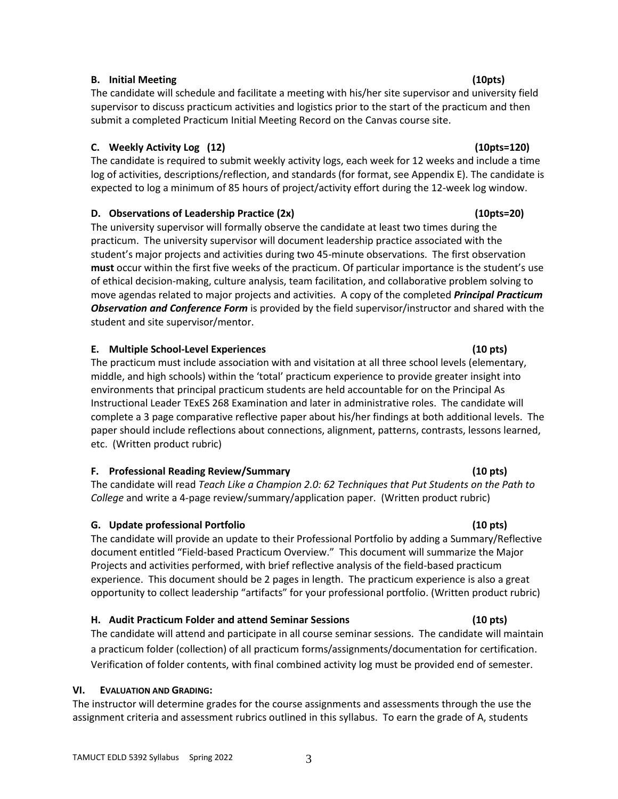### **B. Initial Meeting (10pts)**

The candidate will schedule and facilitate a meeting with his/her site supervisor and university field supervisor to discuss practicum activities and logistics prior to the start of the practicum and then submit a completed Practicum Initial Meeting Record on the Canvas course site.

# **C. Weekly Activity Log (12) (10pts=120)**

The candidate is required to submit weekly activity logs, each week for 12 weeks and include a time log of activities, descriptions/reflection, and standards (for format, see Appendix E). The candidate is expected to log a minimum of 85 hours of project/activity effort during the 12-week log window.

# **D. Observations of Leadership Practice (2x) (10pts=20)**

The university supervisor will formally observe the candidate at least two times during the practicum. The university supervisor will document leadership practice associated with the student's major projects and activities during two 45-minute observations. The first observation **must** occur within the first five weeks of the practicum. Of particular importance is the student's use of ethical decision-making, culture analysis, team facilitation, and collaborative problem solving to move agendas related to major projects and activities. A copy of the completed *Principal Practicum Observation and Conference Form* is provided by the field supervisor/instructor and shared with the student and site supervisor/mentor.

# **E. Multiple School-Level Experiences (10 pts)**

The practicum must include association with and visitation at all three school levels (elementary, middle, and high schools) within the 'total' practicum experience to provide greater insight into environments that principal practicum students are held accountable for on the Principal As Instructional Leader TExES 268 Examination and later in administrative roles. The candidate will complete a 3 page comparative reflective paper about his/her findings at both additional levels. The paper should include reflections about connections, alignment, patterns, contrasts, lessons learned, etc. (Written product rubric)

# **F. Professional Reading Review/Summary (10 pts)**

The candidate will read *Teach Like a Champion 2.0: 62 Techniques that Put Students on the Path to College* and write a 4-page review/summary/application paper. (Written product rubric)

# **G. Update professional Portfolio (10 pts)**

The candidate will provide an update to their Professional Portfolio by adding a Summary/Reflective document entitled "Field-based Practicum Overview." This document will summarize the Major Projects and activities performed, with brief reflective analysis of the field-based practicum experience. This document should be 2 pages in length. The practicum experience is also a great opportunity to collect leadership "artifacts" for your professional portfolio. (Written product rubric)

# **H. Audit Practicum Folder and attend Seminar Sessions (10 pts)**

The candidate will attend and participate in all course seminar sessions. The candidate will maintain a practicum folder (collection) of all practicum forms/assignments/documentation for certification. Verification of folder contents, with final combined activity log must be provided end of semester.

# **VI. EVALUATION AND GRADING:**

The instructor will determine grades for the course assignments and assessments through the use the assignment criteria and assessment rubrics outlined in this syllabus. To earn the grade of A, students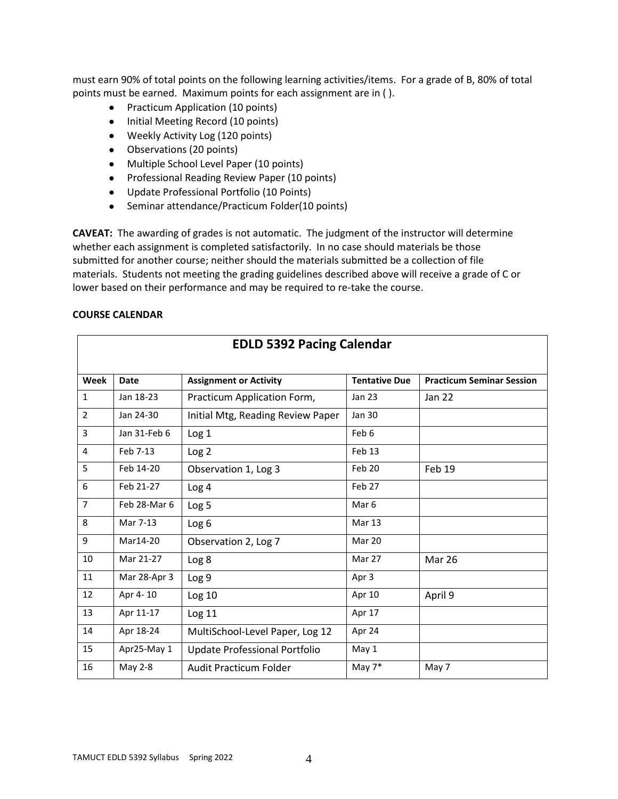must earn 90% of total points on the following learning activities/items. For a grade of B, 80% of total points must be earned. Maximum points for each assignment are in ( ).

- Practicum Application (10 points)
- Initial Meeting Record (10 points)
- Weekly Activity Log (120 points)
- Observations (20 points)
- Multiple School Level Paper (10 points)
- Professional Reading Review Paper (10 points)
- Update Professional Portfolio (10 Points)
- Seminar attendance/Practicum Folder(10 points)

**CAVEAT:** The awarding of grades is not automatic. The judgment of the instructor will determine whether each assignment is completed satisfactorily. In no case should materials be those submitted for another course; neither should the materials submitted be a collection of file materials. Students not meeting the grading guidelines described above will receive a grade of C or lower based on their performance and may be required to re-take the course.

#### **COURSE CALENDAR**

| <b>EDLD 5392 Pacing Calendar</b> |              |                                   |                      |                                  |
|----------------------------------|--------------|-----------------------------------|----------------------|----------------------------------|
| Week                             | <b>Date</b>  | <b>Assignment or Activity</b>     | <b>Tentative Due</b> | <b>Practicum Seminar Session</b> |
| $\mathbf{1}$                     | Jan 18-23    | Practicum Application Form,       | <b>Jan 23</b>        | Jan 22                           |
| $\overline{2}$                   | Jan 24-30    | Initial Mtg, Reading Review Paper | <b>Jan 30</b>        |                                  |
| 3                                | Jan 31-Feb 6 | Log <sub>1</sub>                  | Feb 6                |                                  |
| 4                                | Feb 7-13     | Log <sub>2</sub>                  | Feb <sub>13</sub>    |                                  |
| 5                                | Feb 14-20    | Observation 1, Log 3              | Feb 20               | Feb 19                           |
| 6                                | Feb 21-27    | Log 4                             | Feb 27               |                                  |
| $\overline{7}$                   | Feb 28-Mar 6 | Log <sub>5</sub>                  | Mar <sub>6</sub>     |                                  |
| 8                                | Mar 7-13     | Log <sub>6</sub>                  | Mar 13               |                                  |
| 9                                | Mar14-20     | Observation 2, Log 7              | Mar 20               |                                  |
| 10                               | Mar 21-27    | Log <sub>8</sub>                  | Mar 27               | Mar 26                           |
| 11                               | Mar 28-Apr 3 | Log <sub>9</sub>                  | Apr 3                |                                  |
| 12                               | Apr 4-10     | Log 10                            | Apr 10               | April 9                          |
| 13                               | Apr 11-17    | Log 11                            | Apr 17               |                                  |
| 14                               | Apr 18-24    | MultiSchool-Level Paper, Log 12   | Apr 24               |                                  |
| 15                               | Apr25-May 1  | Update Professional Portfolio     | May 1                |                                  |
| 16                               | May 2-8      | Audit Practicum Folder            | May $7*$             | May 7                            |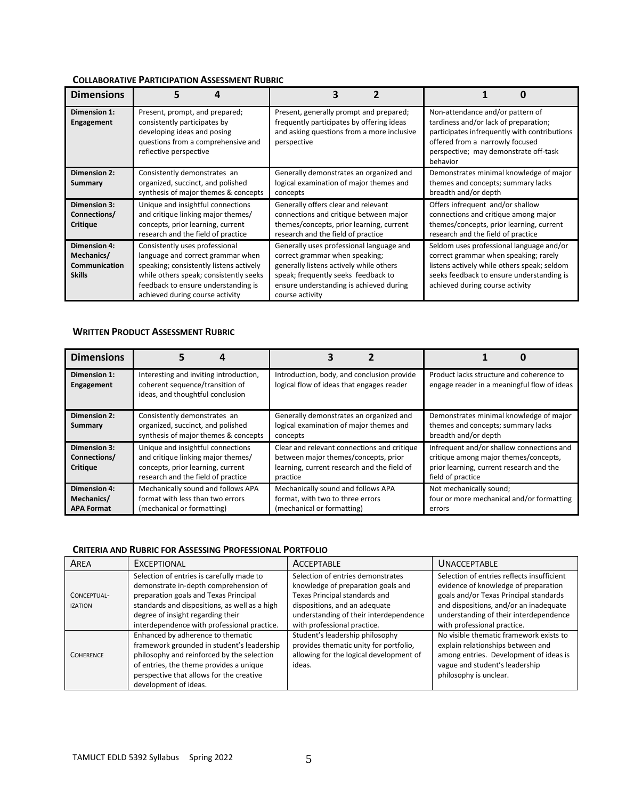# **COLLABORATIVE PARTICIPATION ASSESSMENT RUBRIC**

| <b>Dimensions</b>                                                          |                                                                                                                                                                                                                                    |                                                                                                                                                                                                                            |                                                                                                                                                                                                                   |
|----------------------------------------------------------------------------|------------------------------------------------------------------------------------------------------------------------------------------------------------------------------------------------------------------------------------|----------------------------------------------------------------------------------------------------------------------------------------------------------------------------------------------------------------------------|-------------------------------------------------------------------------------------------------------------------------------------------------------------------------------------------------------------------|
| Dimension 1:<br>Engagement                                                 | Present, prompt, and prepared;<br>consistently participates by<br>developing ideas and posing<br>questions from a comprehensive and<br>reflective perspective                                                                      | Present, generally prompt and prepared;<br>frequently participates by offering ideas<br>and asking questions from a more inclusive<br>perspective                                                                          | Non-attendance and/or pattern of<br>tardiness and/or lack of preparation;<br>participates infrequently with contributions<br>offered from a narrowly focused<br>perspective; may demonstrate off-task<br>behavior |
| <b>Dimension 2:</b><br>Summary                                             | Consistently demonstrates an<br>organized, succinct, and polished<br>synthesis of major themes & concepts                                                                                                                          | Generally demonstrates an organized and<br>logical examination of major themes and<br>concepts                                                                                                                             | Demonstrates minimal knowledge of major<br>themes and concepts; summary lacks<br>breadth and/or depth                                                                                                             |
| <b>Dimension 3:</b><br>Connections/<br><b>Critique</b>                     | Unique and insightful connections<br>and critique linking major themes/<br>concepts, prior learning, current<br>research and the field of practice                                                                                 | Generally offers clear and relevant<br>connections and critique between major<br>themes/concepts, prior learning, current<br>research and the field of practice                                                            | Offers infrequent and/or shallow<br>connections and critique among major<br>themes/concepts, prior learning, current<br>research and the field of practice                                                        |
| <b>Dimension 4:</b><br>Mechanics/<br><b>Communication</b><br><b>Skills</b> | Consistently uses professional<br>language and correct grammar when<br>speaking; consistently listens actively<br>while others speak; consistently seeks<br>feedback to ensure understanding is<br>achieved during course activity | Generally uses professional language and<br>correct grammar when speaking;<br>generally listens actively while others<br>speak; frequently seeks feedback to<br>ensure understanding is achieved during<br>course activity | Seldom uses professional language and/or<br>correct grammar when speaking; rarely<br>listens actively while others speak; seldom<br>seeks feedback to ensure understanding is<br>achieved during course activity  |

#### **WRITTEN PRODUCT ASSESSMENT RUBRIC**

| <b>Dimensions</b>                               | Д                                                                                                                                                  | 7                                                                                                                                              |                                                                                                                                                     |
|-------------------------------------------------|----------------------------------------------------------------------------------------------------------------------------------------------------|------------------------------------------------------------------------------------------------------------------------------------------------|-----------------------------------------------------------------------------------------------------------------------------------------------------|
| <b>Dimension 1:</b><br>Engagement               | Interesting and inviting introduction,<br>coherent sequence/transition of<br>ideas, and thoughtful conclusion                                      | Introduction, body, and conclusion provide<br>logical flow of ideas that engages reader                                                        | Product lacks structure and coherence to<br>engage reader in a meaningful flow of ideas                                                             |
| <b>Dimension 2:</b><br>Summary                  | Consistently demonstrates an<br>organized, succinct, and polished<br>synthesis of major themes & concepts                                          | Generally demonstrates an organized and<br>logical examination of major themes and<br>concepts                                                 | Demonstrates minimal knowledge of major<br>themes and concepts; summary lacks<br>breadth and/or depth                                               |
| Dimension 3:<br>Connections/<br><b>Critique</b> | Unique and insightful connections<br>and critique linking major themes/<br>concepts, prior learning, current<br>research and the field of practice | Clear and relevant connections and critique<br>between major themes/concepts, prior<br>learning, current research and the field of<br>practice | Infrequent and/or shallow connections and<br>critique among major themes/concepts,<br>prior learning, current research and the<br>field of practice |
| Dimension 4:<br>Mechanics/<br><b>APA Format</b> | Mechanically sound and follows APA<br>format with less than two errors<br>(mechanical or formatting)                                               | Mechanically sound and follows APA<br>format, with two to three errors<br>(mechanical or formatting)                                           | Not mechanically sound;<br>four or more mechanical and/or formatting<br>errors                                                                      |

#### **CRITERIA AND RUBRIC FOR ASSESSING PROFESSIONAL PORTFOLIO**

| AREA                          | <b>EXCEPTIONAL</b>                                                                                                                                                                                                                                               | <b>ACCEPTABLE</b>                                                                                                                                                                                                  | <b>UNACCEPTABLE</b>                                                                                                                                                                                                                             |
|-------------------------------|------------------------------------------------------------------------------------------------------------------------------------------------------------------------------------------------------------------------------------------------------------------|--------------------------------------------------------------------------------------------------------------------------------------------------------------------------------------------------------------------|-------------------------------------------------------------------------------------------------------------------------------------------------------------------------------------------------------------------------------------------------|
| CONCEPTUAL-<br><b>IZATION</b> | Selection of entries is carefully made to<br>demonstrate in-depth comprehension of<br>preparation goals and Texas Principal<br>standards and dispositions, as well as a high<br>degree of insight regarding their<br>interdependence with professional practice. | Selection of entries demonstrates<br>knowledge of preparation goals and<br>Texas Principal standards and<br>dispositions, and an adequate<br>understanding of their interdependence<br>with professional practice. | Selection of entries reflects insufficient<br>evidence of knowledge of preparation<br>goals and/or Texas Principal standards<br>and dispositions, and/or an inadequate<br>understanding of their interdependence<br>with professional practice. |
| <b>COHERENCE</b>              | Enhanced by adherence to thematic<br>framework grounded in student's leadership<br>philosophy and reinforced by the selection<br>of entries, the theme provides a unique<br>perspective that allows for the creative<br>development of ideas.                    | Student's leadership philosophy<br>provides thematic unity for portfolio,<br>allowing for the logical development of<br>ideas.                                                                                     | No visible thematic framework exists to<br>explain relationships between and<br>among entries. Development of ideas is<br>vague and student's leadership<br>philosophy is unclear.                                                              |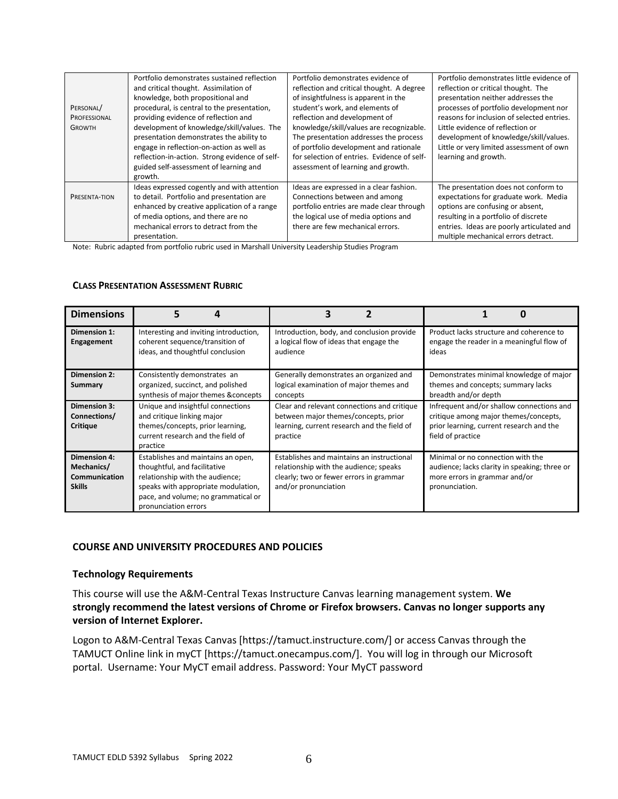|               | Portfolio demonstrates sustained reflection    | Portfolio demonstrates evidence of          | Portfolio demonstrates little evidence of  |
|---------------|------------------------------------------------|---------------------------------------------|--------------------------------------------|
|               | and critical thought. Assimilation of          | reflection and critical thought. A degree   | reflection or critical thought. The        |
|               | knowledge, both propositional and              | of insightfulness is apparent in the        | presentation neither addresses the         |
| PERSONAL/     | procedural, is central to the presentation,    | student's work, and elements of             | processes of portfolio development nor     |
| PROFESSIONAL  | providing evidence of reflection and           | reflection and development of               | reasons for inclusion of selected entries. |
| <b>GROWTH</b> | development of knowledge/skill/values. The     | knowledge/skill/values are recognizable.    | Little evidence of reflection or           |
|               | presentation demonstrates the ability to       | The presentation addresses the process      | development of knowledge/skill/values.     |
|               | engage in reflection-on-action as well as      | of portfolio development and rationale      | Little or very limited assessment of own   |
|               | reflection-in-action. Strong evidence of self- | for selection of entries. Evidence of self- | learning and growth.                       |
|               | guided self-assessment of learning and         | assessment of learning and growth.          |                                            |
|               | growth.                                        |                                             |                                            |
|               | Ideas expressed cogently and with attention    | Ideas are expressed in a clear fashion.     | The presentation does not conform to       |
| PRESENTA-TION | to detail. Portfolio and presentation are      | Connections between and among               | expectations for graduate work. Media      |
|               | enhanced by creative application of a range    | portfolio entries are made clear through    | options are confusing or absent,           |
|               | of media options, and there are no             | the logical use of media options and        | resulting in a portfolio of discrete       |
|               | mechanical errors to detract from the          | there are few mechanical errors.            | entries. Ideas are poorly articulated and  |
|               | presentation.                                  |                                             | multiple mechanical errors detract.        |

Note: Rubric adapted from portfolio rubric used in Marshall University Leadership Studies Program

#### **CLASS PRESENTATION ASSESSMENT RUBRIC**

| <b>Dimensions</b>                                            |                                                                                                                                                                                                             | 3                                                                                                                                                       |                                                                                                                                                     |
|--------------------------------------------------------------|-------------------------------------------------------------------------------------------------------------------------------------------------------------------------------------------------------------|---------------------------------------------------------------------------------------------------------------------------------------------------------|-----------------------------------------------------------------------------------------------------------------------------------------------------|
| Dimension 1:<br>Engagement                                   | Interesting and inviting introduction,<br>coherent sequence/transition of<br>ideas, and thoughtful conclusion                                                                                               | Introduction, body, and conclusion provide<br>a logical flow of ideas that engage the<br>audience                                                       | Product lacks structure and coherence to<br>engage the reader in a meaningful flow of<br>ideas                                                      |
| Dimension 2:<br>Summary                                      | Consistently demonstrates an<br>organized, succinct, and polished<br>synthesis of major themes & concepts                                                                                                   | Generally demonstrates an organized and<br>logical examination of major themes and<br>concepts                                                          | Demonstrates minimal knowledge of major<br>themes and concepts; summary lacks<br>breadth and/or depth                                               |
| Dimension 3:<br>Connections/<br><b>Critique</b>              | Unique and insightful connections<br>and critique linking major<br>themes/concepts, prior learning,<br>current research and the field of<br>practice                                                        | Clear and relevant connections and critique<br>between major themes/concepts, prior<br>learning, current research and the field of<br>practice          | Infrequent and/or shallow connections and<br>critique among major themes/concepts,<br>prior learning, current research and the<br>field of practice |
| Dimension 4:<br>Mechanics/<br>Communication<br><b>Skills</b> | Establishes and maintains an open,<br>thoughtful, and facilitative<br>relationship with the audience;<br>speaks with appropriate modulation,<br>pace, and volume; no grammatical or<br>pronunciation errors | Establishes and maintains an instructional<br>relationship with the audience; speaks<br>clearly; two or fewer errors in grammar<br>and/or pronunciation | Minimal or no connection with the<br>audience; lacks clarity in speaking; three or<br>more errors in grammar and/or<br>pronunciation.               |

#### **COURSE AND UNIVERSITY PROCEDURES AND POLICIES**

#### **Technology Requirements**

This course will use the A&M-Central Texas Instructure Canvas learning management system. **We strongly recommend the latest versions of Chrome or Firefox browsers. Canvas no longer supports any version of Internet Explorer.**

Logon to A&M-Central Texas Canvas [https://tamuct.instructure.com/] or access Canvas through the TAMUCT Online link in myCT [https://tamuct.onecampus.com/]. You will log in through our Microsoft portal. Username: Your MyCT email address. Password: Your MyCT password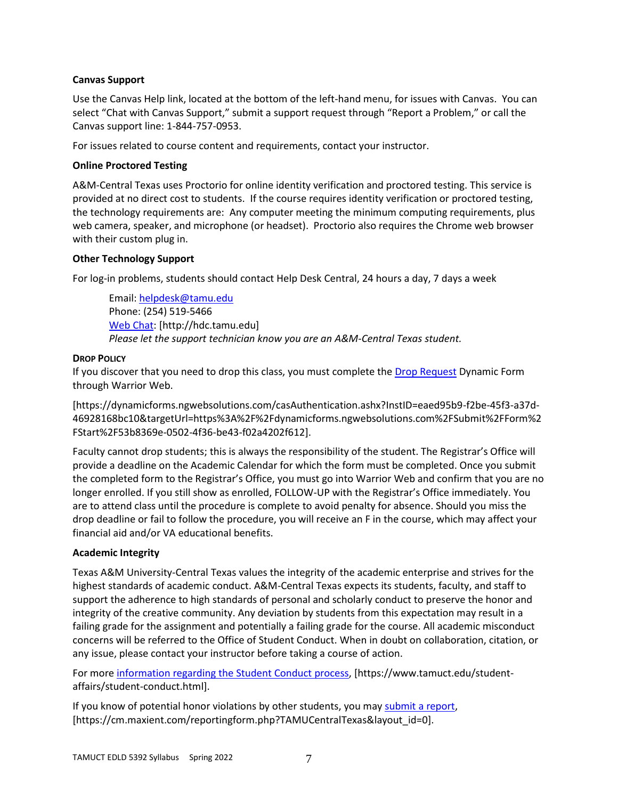# **Canvas Support**

Use the Canvas Help link, located at the bottom of the left-hand menu, for issues with Canvas. You can select "Chat with Canvas Support," submit a support request through "Report a Problem," or call the Canvas support line: 1-844-757-0953.

For issues related to course content and requirements, contact your instructor.

### **Online Proctored Testing**

A&M-Central Texas uses Proctorio for online identity verification and proctored testing. This service is provided at no direct cost to students. If the course requires identity verification or proctored testing, the technology requirements are: Any computer meeting the minimum computing requirements, plus web camera, speaker, and microphone (or headset). Proctorio also requires the Chrome web browser with their custom plug in.

# **Other Technology Support**

For log-in problems, students should contact Help Desk Central, 24 hours a day, 7 days a week

Email: [helpdesk@tamu.edu](mailto:helpdesk@tamu.edu) Phone: (254) 519-5466 [Web Chat:](http://hdc.tamu.edu/) [http://hdc.tamu.edu] *Please let the support technician know you are an A&M-Central Texas student.*

### **DROP POLICY**

If you discover that you need to drop this class, you must complete the [Drop Request](https://dynamicforms.ngwebsolutions.com/casAuthentication.ashx?InstID=eaed95b9-f2be-45f3-a37d-46928168bc10&targetUrl=https%3A%2F%2Fdynamicforms.ngwebsolutions.com%2FSubmit%2FForm%2FStart%2F53b8369e-0502-4f36-be43-f02a4202f612) Dynamic Form through Warrior Web.

[https://dynamicforms.ngwebsolutions.com/casAuthentication.ashx?InstID=eaed95b9-f2be-45f3-a37d-46928168bc10&targetUrl=https%3A%2F%2Fdynamicforms.ngwebsolutions.com%2FSubmit%2FForm%2 FStart%2F53b8369e-0502-4f36-be43-f02a4202f612].

Faculty cannot drop students; this is always the responsibility of the student. The Registrar's Office will provide a deadline on the Academic Calendar for which the form must be completed. Once you submit the completed form to the Registrar's Office, you must go into Warrior Web and confirm that you are no longer enrolled. If you still show as enrolled, FOLLOW-UP with the Registrar's Office immediately. You are to attend class until the procedure is complete to avoid penalty for absence. Should you miss the drop deadline or fail to follow the procedure, you will receive an F in the course, which may affect your financial aid and/or VA educational benefits.

# **Academic Integrity**

Texas A&M University-Central Texas values the integrity of the academic enterprise and strives for the highest standards of academic conduct. A&M-Central Texas expects its students, faculty, and staff to support the adherence to high standards of personal and scholarly conduct to preserve the honor and integrity of the creative community. Any deviation by students from this expectation may result in a failing grade for the assignment and potentially a failing grade for the course. All academic misconduct concerns will be referred to the Office of Student Conduct. When in doubt on collaboration, citation, or any issue, please contact your instructor before taking a course of action.

For more [information](https://nam04.safelinks.protection.outlook.com/?url=https%3A%2F%2Fwww.tamuct.edu%2Fstudent-affairs%2Fstudent-conduct.html&data=04%7C01%7Clisa.bunkowski%40tamuct.edu%7Ccfb6e486f24745f53e1a08d910055cb2%7C9eed4e3000f744849ff193ad8005acec%7C0%7C0%7C637558437485252160%7CUnknown%7CTWFpbGZsb3d8eyJWIjoiMC4wLjAwMDAiLCJQIjoiV2luMzIiLCJBTiI6Ik1haWwiLCJXVCI6Mn0%3D%7C1000&sdata=yjftDEVHvLX%2FhM%2FcFU0B99krV1RgEWR%2BJ%2BhvtoR6TYk%3D&reserved=0) regarding the Student Conduct process, [https://www.tamuct.edu/studentaffairs/student-conduct.html].

If you know of potential honor violations by other students, you may [submit](https://nam04.safelinks.protection.outlook.com/?url=https%3A%2F%2Fcm.maxient.com%2Freportingform.php%3FTAMUCentralTexas%26layout_id%3D0&data=04%7C01%7Clisa.bunkowski%40tamuct.edu%7Ccfb6e486f24745f53e1a08d910055cb2%7C9eed4e3000f744849ff193ad8005acec%7C0%7C0%7C637558437485262157%7CUnknown%7CTWFpbGZsb3d8eyJWIjoiMC4wLjAwMDAiLCJQIjoiV2luMzIiLCJBTiI6Ik1haWwiLCJXVCI6Mn0%3D%7C1000&sdata=CXGkOa6uPDPX1IMZ87z3aZDq2n91xfHKu4MMS43Ejjk%3D&reserved=0) a report, [https://cm.maxient.com/reportingform.php?TAMUCentralTexas&layout\_id=0].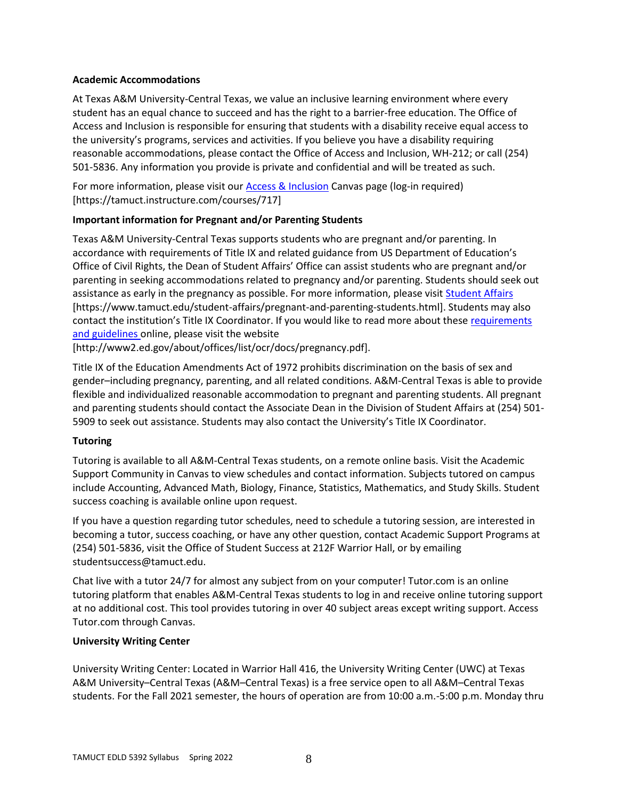## **Academic Accommodations**

At Texas A&M University-Central Texas, we value an inclusive learning environment where every student has an equal chance to succeed and has the right to a barrier-free education. The Office of Access and Inclusion is responsible for ensuring that students with a disability receive equal access to the university's programs, services and activities. If you believe you have a disability requiring reasonable accommodations, please contact the Office of Access and Inclusion, WH-212; or call (254) 501-5836. Any information you provide is private and confidential and will be treated as such.

For more information, please visit ou[r Access & Inclusion](https://tamuct.instructure.com/courses/717) Canvas page (log-in required) [https://tamuct.instructure.com/courses/717]

# **Important information for Pregnant and/or Parenting Students**

Texas A&M University-Central Texas supports students who are pregnant and/or parenting. In accordance with requirements of Title IX and related guidance from US Department of Education's Office of Civil Rights, the Dean of Student Affairs' Office can assist students who are pregnant and/or parenting in seeking accommodations related to pregnancy and/or parenting. Students should seek out assistance as early in the pregnancy as possible. For more information, please visit **Student Affairs** [https://www.tamuct.edu/student-affairs/pregnant-and-parenting-students.html]. Students may also contact the institution's Title IX Coordinator. If you would like to read more about these [requirements](http://www2.ed.gov/about/offices/list/ocr/docs/pregnancy.pdf)  [and guidelines](http://www2.ed.gov/about/offices/list/ocr/docs/pregnancy.pdf) online, please visit the website

[http://www2.ed.gov/about/offices/list/ocr/docs/pregnancy.pdf].

Title IX of the Education Amendments Act of 1972 prohibits discrimination on the basis of sex and gender–including pregnancy, parenting, and all related conditions. A&M-Central Texas is able to provide flexible and individualized reasonable accommodation to pregnant and parenting students. All pregnant and parenting students should contact the Associate Dean in the Division of Student Affairs at (254) 501- 5909 to seek out assistance. Students may also contact the University's Title IX Coordinator.

# **Tutoring**

Tutoring is available to all A&M-Central Texas students, on a remote online basis. Visit the Academic Support Community in Canvas to view schedules and contact information. Subjects tutored on campus include Accounting, Advanced Math, Biology, Finance, Statistics, Mathematics, and Study Skills. Student success coaching is available online upon request.

If you have a question regarding tutor schedules, need to schedule a tutoring session, are interested in becoming a tutor, success coaching, or have any other question, contact Academic Support Programs at (254) 501-5836, visit the Office of Student Success at 212F Warrior Hall, or by emailing studentsuccess@tamuct.edu.

Chat live with a tutor 24/7 for almost any subject from on your computer! Tutor.com is an online tutoring platform that enables A&M-Central Texas students to log in and receive online tutoring support at no additional cost. This tool provides tutoring in over 40 subject areas except writing support. Access Tutor.com through Canvas.

# **University Writing Center**

University Writing Center: Located in Warrior Hall 416, the University Writing Center (UWC) at Texas A&M University–Central Texas (A&M–Central Texas) is a free service open to all A&M–Central Texas students. For the Fall 2021 semester, the hours of operation are from 10:00 a.m.-5:00 p.m. Monday thru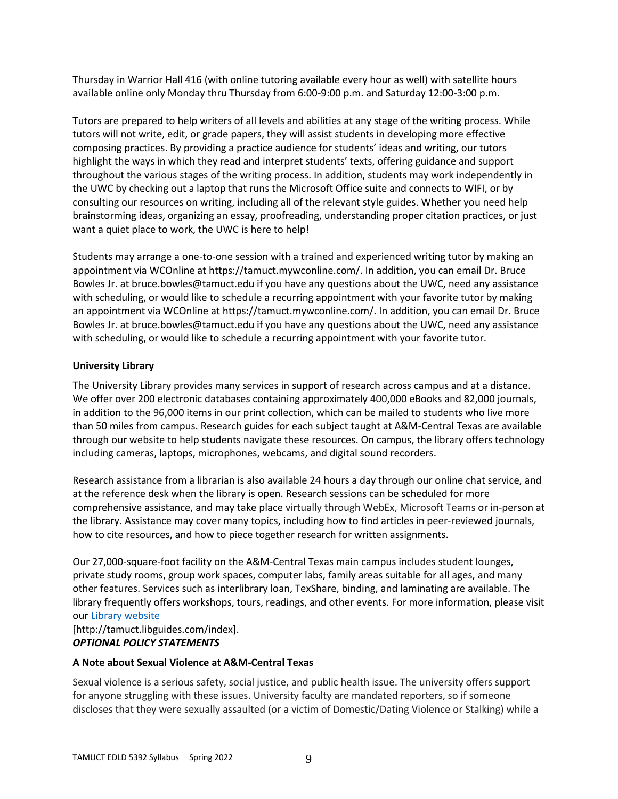Thursday in Warrior Hall 416 (with online tutoring available every hour as well) with satellite hours available online only Monday thru Thursday from 6:00-9:00 p.m. and Saturday 12:00-3:00 p.m.

Tutors are prepared to help writers of all levels and abilities at any stage of the writing process. While tutors will not write, edit, or grade papers, they will assist students in developing more effective composing practices. By providing a practice audience for students' ideas and writing, our tutors highlight the ways in which they read and interpret students' texts, offering guidance and support throughout the various stages of the writing process. In addition, students may work independently in the UWC by checking out a laptop that runs the Microsoft Office suite and connects to WIFI, or by consulting our resources on writing, including all of the relevant style guides. Whether you need help brainstorming ideas, organizing an essay, proofreading, understanding proper citation practices, or just want a quiet place to work, the UWC is here to help!

Students may arrange a one-to-one session with a trained and experienced writing tutor by making an appointment via WCOnline at https://tamuct.mywconline.com/. In addition, you can email Dr. Bruce Bowles Jr. at bruce.bowles@tamuct.edu if you have any questions about the UWC, need any assistance with scheduling, or would like to schedule a recurring appointment with your favorite tutor by making an appointment via WCOnline at https://tamuct.mywconline.com/. In addition, you can email Dr. Bruce Bowles Jr. at bruce.bowles@tamuct.edu if you have any questions about the UWC, need any assistance with scheduling, or would like to schedule a recurring appointment with your favorite tutor.

# **University Library**

The University Library provides many services in support of research across campus and at a distance. We offer over 200 electronic databases containing approximately 400,000 eBooks and 82,000 journals, in addition to the 96,000 items in our print collection, which can be mailed to students who live more than 50 miles from campus. Research guides for each subject taught at A&M-Central Texas are available through our website to help students navigate these resources. On campus, the library offers technology including cameras, laptops, microphones, webcams, and digital sound recorders.

Research assistance from a librarian is also available 24 hours a day through our online chat service, and at the reference desk when the library is open. Research sessions can be scheduled for more comprehensive assistance, and may take place virtually through WebEx, Microsoft Teams or in-person at the library. Assistance may cover many topics, including how to find articles in peer-reviewed journals, how to cite resources, and how to piece together research for written assignments.

Our 27,000-square-foot facility on the A&M-Central Texas main campus includes student lounges, private study rooms, group work spaces, computer labs, family areas suitable for all ages, and many other features. Services such as interlibrary loan, TexShare, binding, and laminating are available. The library frequently offers workshops, tours, readings, and other events. For more information, please visit our Library [website](https://nam04.safelinks.protection.outlook.com/?url=https%3A%2F%2Ftamuct.libguides.com%2Findex&data=04%7C01%7Clisa.bunkowski%40tamuct.edu%7C7d8489e8839a4915335f08d916f067f2%7C9eed4e3000f744849ff193ad8005acec%7C0%7C0%7C637566044056484222%7CUnknown%7CTWFpbGZsb3d8eyJWIjoiMC4wLjAwMDAiLCJQIjoiV2luMzIiLCJBTiI6Ik1haWwiLCJXVCI6Mn0%3D%7C1000&sdata=2R755V6rcIyedGrd4Os5rkgn1PvhHKU3kUV1vBKiHFo%3D&reserved=0)

[http://tamuct.libguides.com/index]. *OPTIONAL POLICY STATEMENTS*

# **A Note about Sexual Violence at A&M-Central Texas**

Sexual violence is a serious safety, social justice, and public health issue. The university offers support for anyone struggling with these issues. University faculty are mandated reporters, so if someone discloses that they were sexually assaulted (or a victim of Domestic/Dating Violence or Stalking) while a